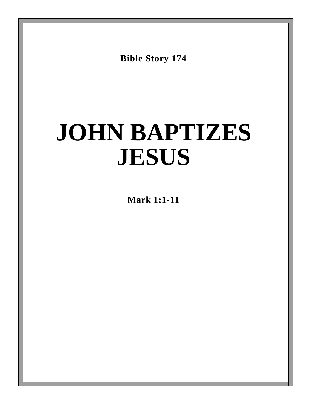**Bible Story 174**

# **JOHN BAPTIZES JESUS**

**Mark 1:1-11**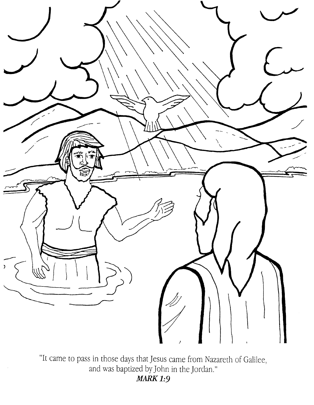

"It came to pass in those days that Jesus came from Nazareth of Galilee, and was baptized by John in the Jordan." **MARK 1:9**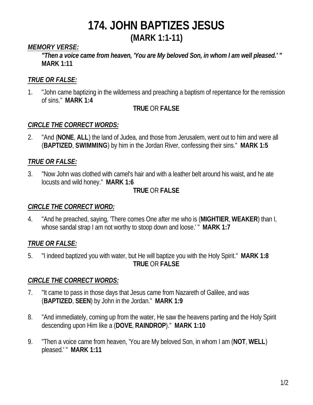## **174. JOHN BAPTIZES JESUS**

## **(MARK 1:1-11)**

## *MEMORY VERSE:*

*"Then a voice came from heaven, 'You are My beloved Son, in whom I am well pleased.' "* **MARK 1:11**

## *TRUE OR FALSE:*

1. "John came baptizing in the wilderness and preaching a baptism of repentance for the remission of sins." **MARK 1:4**

#### **TRUE** OR **FALSE**

#### *CIRCLE THE CORRECT WORDS:*

2. "And (**NONE**, **ALL**) the land of Judea, and those from Jerusalem, went out to him and were all (**BAPTIZED**, **SWIMMING**) by him in the Jordan River, confessing their sins." **MARK 1:5**

## *TRUE OR FALSE:*

3. "Now John was clothed with camel's hair and with a leather belt around his waist, and he ate locusts and wild honey." **MARK 1:6**

## **TRUE** OR **FALSE**

#### *CIRCLE THE CORRECT WORD:*

4. "And he preached, saying, 'There comes One after me who is (**MIGHTIER**, **WEAKER**) than I, whose sandal strap I am not worthy to stoop down and loose.' " **MARK 1:7**

## *TRUE OR FALSE:*

5. "I indeed baptized you with water, but He will baptize you with the Holy Spirit." **MARK 1:8 TRUE** OR **FALSE**

## *CIRCLE THE CORRECT WORDS:*

- 7. "It came to pass in those days that Jesus came from Nazareth of Galilee, and was (**BAPTIZED**, **SEEN**) by John in the Jordan." **MARK 1:9**
- 8. "And immediately, coming up from the water, He saw the heavens parting and the Holy Spirit descending upon Him like a (**DOVE**, **RAINDROP**)." **MARK 1:10**
- 9. "Then a voice came from heaven, 'You are My beloved Son, in whom I am (**NOT**, **WELL**) pleased.' " **MARK 1:11**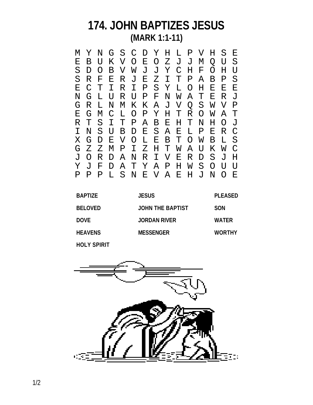## **174. JOHN BAPTIZES JESUS (MARK 1:1-11)**

M Y N G S C D Y H L P V H S E E B U K V O E O Z J J M Q U S D O B V W J J Y C H F O H U<br>R F E R J E Z I T P A B P S S R F E R J E Z<br>E C T I R I P S E C T I R I P S Y L O H E E E L U R U P F N W A T<br>L N M K K A J V O S G R L N M K K A J V Q S W V P E G M C L O P Y H T R O<br>R T S I T P A B E H T N R T S I T P A B E H T N H O J D E S A E L P E R C<br>O L E B T O W B L S X G D E V O L E B T O W<br>G Z Z M P I Z H T W A U G Z Z M P I Z H T W A U K W C J O R D A N R I V E R D Y J F D A T Y A P H W S O U U P P P L S N E V A E H J N O E

| <b>BAPTIZE</b> | <b>JESUS</b>        | <b>PLEASED</b> |
|----------------|---------------------|----------------|
| <b>BELOVED</b> | JOHN THE BAPTIST    | <b>SON</b>     |
| <b>DOVE</b>    | <b>JORDAN RIVER</b> | <b>WATER</b>   |
| <b>HEAVENS</b> | <b>MESSENGER</b>    | <b>WORTHY</b>  |
|                |                     |                |

**HOLY SPIRIT**

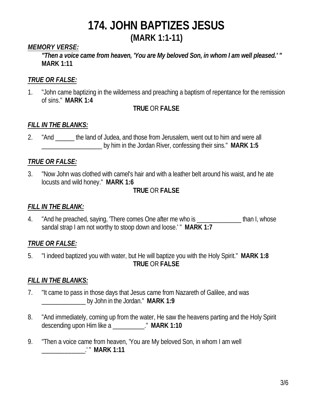# **174. JOHN BAPTIZES JESUS**

## **(MARK 1:1-11)**

## *MEMORY VERSE:*

*"Then a voice came from heaven, 'You are My beloved Son, in whom I am well pleased.' "* **MARK 1:11**

## *TRUE OR FALSE:*

1. "John came baptizing in the wilderness and preaching a baptism of repentance for the remission of sins." **MARK 1:4**

## **TRUE** OR **FALSE**

## *FILL IN THE BLANKS:*

2. "And the land of Judea, and those from Jerusalem, went out to him and were all \_\_\_\_\_\_\_\_\_\_\_\_\_\_\_\_\_\_\_ by him in the Jordan River, confessing their sins." **MARK 1:5**

## *TRUE OR FALSE:*

3. "Now John was clothed with camel's hair and with a leather belt around his waist, and he ate locusts and wild honey." **MARK 1:6**

## **TRUE** OR **FALSE**

## *FILL IN THE BLANK:*

4. "And he preached, saying, 'There comes One after me who is entitled than I, whose sandal strap I am not worthy to stoop down and loose.' " **MARK 1:7**

## *TRUE OR FALSE:*

5. "I indeed baptized you with water, but He will baptize you with the Holy Spirit." **MARK 1:8 TRUE** OR **FALSE**

## *FILL IN THE BLANKS:*

- 7. "It came to pass in those days that Jesus came from Nazareth of Galilee, and was \_\_\_\_\_\_\_\_\_\_\_\_\_\_ by John in the Jordan." **MARK 1:9**
- 8. "And immediately, coming up from the water, He saw the heavens parting and the Holy Spirit descending upon Him like a \_\_\_\_\_\_\_\_\_\_." **MARK 1:10**
- 9. "Then a voice came from heaven, 'You are My beloved Son, in whom I am well \_\_\_\_\_\_\_\_\_\_\_\_\_\_.' " **MARK 1:11**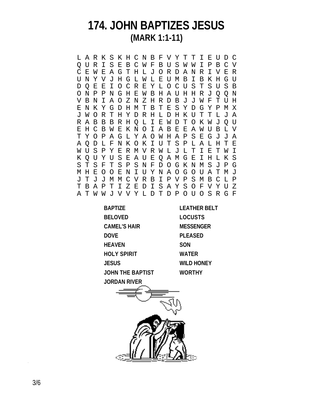## **174. JOHN BAPTIZES JESUS (MARK 1:1-11)**

L A R K S K H C N B F V Y T T I E U D C Q U R I S E B C W F B U S W W I P B C V C E W E A G T H L J O R D A N R I V E R U N Y V J H G L W L E U M B I B K H G U D Q E E I O C R E Y L O C U S T S U S B O N P P N G H E W B H A U H H R J Q Q N V B N I A O Z N Z H R D B J J W F T U H E N K Y G D H M T B T E S Y D G Y P M X J W O R T H Y D R H L D H K U T T L J A R A B B B R H Q L I E W D T O K W J Q U E H C B W E K N O I A B E E A W U B L V T Y O P A G L Y A O W H A P S E G J J A A Q D L F N K O K I U T S P L A L H T E W U S P Y E R M V R W L J L T I E T W I K Q U Y U S E A U E Q A M G E I H L K S S T S F T S P S N F D O G K N M S J P G M H E O O E N I U Y N A O G O U A T M J J T J J M M C V R B I P V P S M B C L P T B A P T I Z E D I S A Y S O F V Y U Z A T W W J V V Y L D T D P O U O S R G F

| <b>BAPTIZE</b>      | <b>LEATHER BE</b> |
|---------------------|-------------------|
| <b>BELOVED</b>      | <b>LOCUSTS</b>    |
| <b>CAMEL'S HAIR</b> | <b>MESSENGER</b>  |
| DOVE                | <b>PLEASED</b>    |
| HEAVEN              | <b>SON</b>        |
| HOLY SPIRIT         | <b>WATER</b>      |
| <b>JESUS</b>        | <b>WILD HONEY</b> |
| JOHN THE BAPTIST    | <b>WORTHY</b>     |
| JORDAN RIVER        |                   |
|                     |                   |

**BELT**